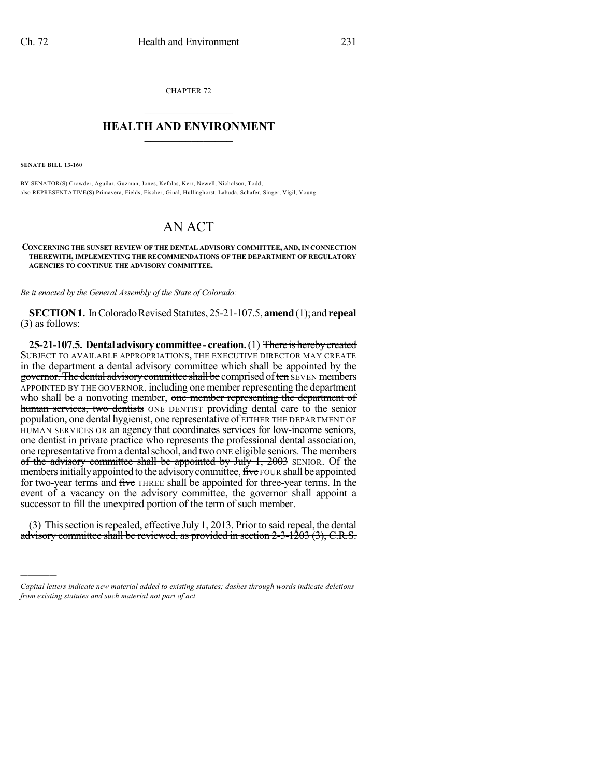CHAPTER 72  $\mathcal{L}_\text{max}$  . The set of the set of the set of the set of the set of the set of the set of the set of the set of the set of the set of the set of the set of the set of the set of the set of the set of the set of the set

## **HEALTH AND ENVIRONMENT**  $\_$

**SENATE BILL 13-160**

)))))

BY SENATOR(S) Crowder, Aguilar, Guzman, Jones, Kefalas, Kerr, Newell, Nicholson, Todd; also REPRESENTATIVE(S) Primavera, Fields, Fischer, Ginal, Hullinghorst, Labuda, Schafer, Singer, Vigil, Young.

## AN ACT

**CONCERNING THE SUNSET REVIEW OF THE DENTAL ADVISORY COMMITTEE, AND,IN CONNECTION THEREWITH, IMPLEMENTING THE RECOMMENDATIONS OF THE DEPARTMENT OF REGULATORY AGENCIES TO CONTINUE THE ADVISORY COMMITTEE.**

*Be it enacted by the General Assembly of the State of Colorado:*

**SECTION 1.** In Colorado Revised Statutes, 25-21-107.5, **amend** (1); and **repeal** (3) as follows:

**25-21-107.5. Dental advisorycommittee - creation.**(1) There is herebycreated SUBJECT TO AVAILABLE APPROPRIATIONS, THE EXECUTIVE DIRECTOR MAY CREATE in the department a dental advisory committee which shall be appointed by the governor. The dental advisory committee shall be comprised of ten SEVEN members APPOINTED BY THE GOVERNOR, including one member representing the department who shall be a nonvoting member, one member representing the department of human services, two dentists ONE DENTIST providing dental care to the senior population, one dental hygienist, one representative of EITHER THE DEPARTMENT OF HUMAN SERVICES OR an agency that coordinates services for low-income seniors, one dentist in private practice who represents the professional dental association, one representative from a dental school, and two ONE eligible seniors. The members of the advisory committee shall be appointed by July  $1, 2003$  SENIOR. Of the members initially appointed to the advisory committee, five FOUR shall be appointed for two-year terms and five THREE shall be appointed for three-year terms. In the event of a vacancy on the advisory committee, the governor shall appoint a successor to fill the unexpired portion of the term of such member.

(3) This section is repealed, effective July 1, 2013. Prior to said repeal, the dental advisory committee shall be reviewed, as provided in section 2-3-1203 (3), C.R.S.

*Capital letters indicate new material added to existing statutes; dashes through words indicate deletions from existing statutes and such material not part of act.*